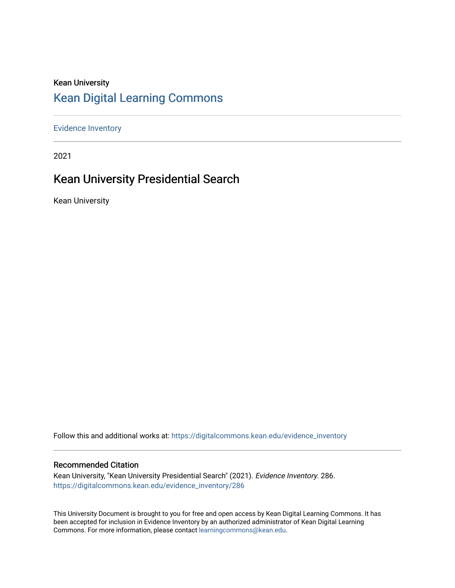#### Kean University [Kean Digital Learning Commons](https://digitalcommons.kean.edu/)

[Evidence Inventory](https://digitalcommons.kean.edu/evidence_inventory) 

2021

### Kean University Presidential Search

Kean University

Follow this and additional works at: [https://digitalcommons.kean.edu/evidence\\_inventory](https://digitalcommons.kean.edu/evidence_inventory?utm_source=digitalcommons.kean.edu%2Fevidence_inventory%2F286&utm_medium=PDF&utm_campaign=PDFCoverPages)

#### Recommended Citation

Kean University, "Kean University Presidential Search" (2021). Evidence Inventory. 286. [https://digitalcommons.kean.edu/evidence\\_inventory/286](https://digitalcommons.kean.edu/evidence_inventory/286?utm_source=digitalcommons.kean.edu%2Fevidence_inventory%2F286&utm_medium=PDF&utm_campaign=PDFCoverPages)

This University Document is brought to you for free and open access by Kean Digital Learning Commons. It has been accepted for inclusion in Evidence Inventory by an authorized administrator of Kean Digital Learning Commons. For more information, please contact [learningcommons@kean.edu.](mailto:learningcommons@kean.edu)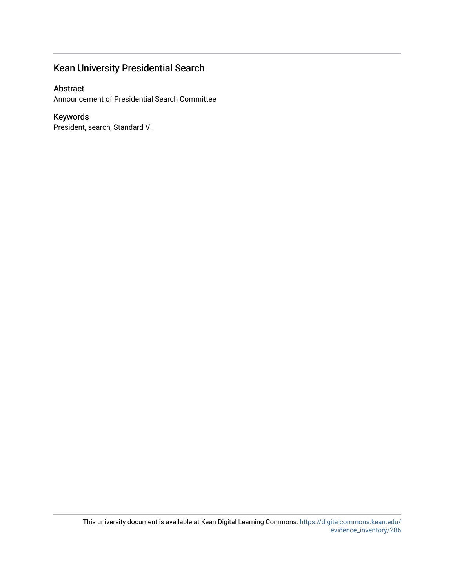#### Kean University Presidential Search

#### Abstract

Announcement of Presidential Search Committee

#### Keywords

President, search, Standard VII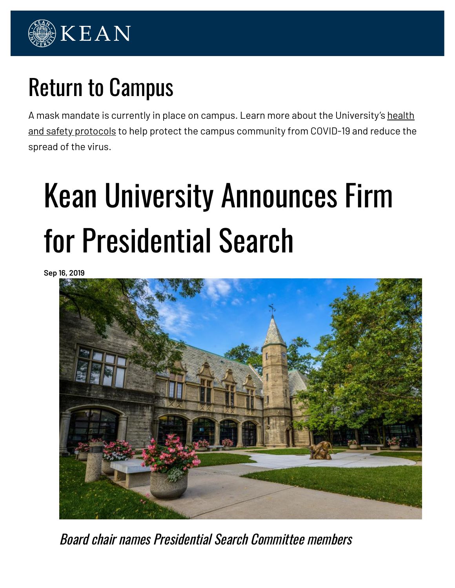

# Return to Campus

A mask mandate is currently in place on campus. Learn more about the University's health and safety protocols to help protect the campus community from COVID-19 and reduce the spread of the virus.

# Kean University Announces Firm for Presidential Search

**Sep 16, 2019**



Board chair names Presidential Search Committee members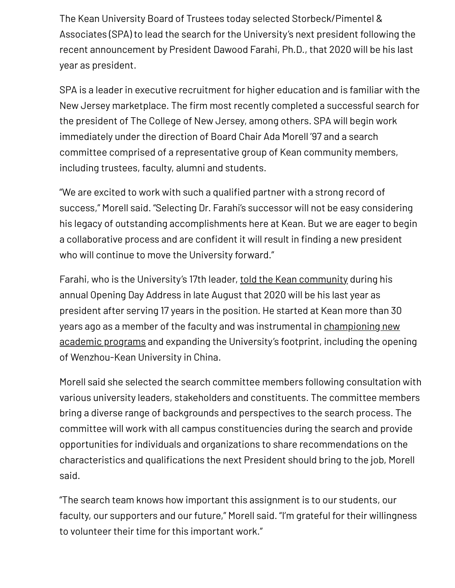The Kean University Board of Trustees today selected Storbeck/Pimentel & Associates (SPA) to lead the search for the University's next president following the recent announcement by President Dawood Farahi, Ph.D., that 2020 will be his last year as president.

SPA is a leader in executive recruitment for higher education and is familiar with the New Jersey marketplace. The firm most recently completed a successful search for the president of The College of New Jersey, among others. SPA will begin work immediately under the direction of Board Chair Ada Morell '97 and a search committee comprised of a representative group of Kean community members, including trustees, faculty, alumni and students.

"We are excited to work with such a qualified partner with a strong record of success," Morell said. "Selecting Dr. Farahi's successor will not be easy considering his legacy of outstanding accomplishments here at Kean. But we are eager to begin a collaborative process and are confident it will result in finding a new president who will continue to move the University forward."

Farahi, who is the University's 17th leader, told the Kean community during his annual Opening Day Address in late August that 2020 will be his last year as president after serving 17 years in the position. He started at Kean more than 30 years ago as a member of the faculty and was instrumental in championing new academic programs and expanding the University's footprint, including the opening of Wenzhou-Kean University in China.

Morell said she selected the search committee members following consultation with various university leaders, stakeholders and constituents. The committee members bring a diverse range of backgrounds and perspectives to the search process. The committee will work with all campus constituencies during the search and provide opportunities for individuals and organizations to share recommendations on the characteristics and qualifications the next President should bring to the job, Morell said.

"The search team knows how important this assignment is to our students, our faculty, our supporters and our future," Morell said. "I'm grateful for their willingness to volunteer their time for this important work."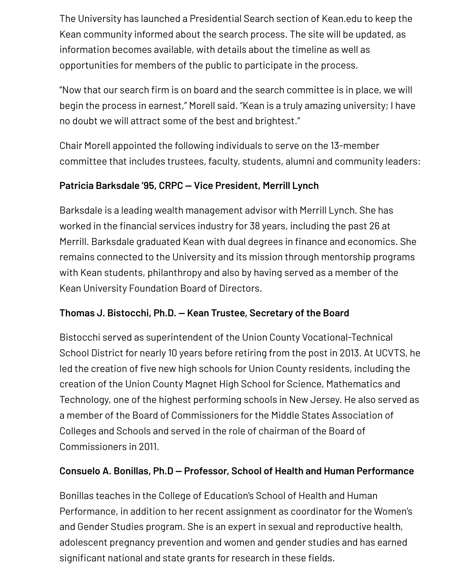The University has launched a Presidential Search section of Kean.edu to keep the Kean community informed about the search process. The site will be updated, as information becomes available, with details about the timeline as well as opportunities for members of the public to participate in the process.

"Now that our search firm is on board and the search committee is in place, we will begin the process in earnest," Morell said. "Kean is a truly amazing university; I have no doubt we will attract some of the best and brightest."

Chair Morell appointed the following individuals to serve on the 13-member committee that includes trustees, faculty, students, alumni and community leaders:

#### **Patricia Barksdale '95, CRPC — Vice President, Merrill Lynch**

Barksdale is a leading wealth management advisor with Merrill Lynch. She has worked in the financial services industry for 38 years, including the past 26 at Merrill. Barksdale graduated Kean with dual degrees in finance and economics. She remains connected to the University and its mission through mentorship programs with Kean students, philanthropy and also by having served as a member of the Kean University Foundation Board of Directors.

#### **Thomas J. Bistocchi, Ph.D. — Kean Trustee, Secretary of the Board**

Bistocchi served as superintendent of the Union County Vocational-Technical School District for nearly 10 years before retiring from the post in 2013. At UCVTS, he led the creation of five new high schools for Union County residents, including the creation of the Union County Magnet High School for Science, Mathematics and Technology, one of the highest performing schools in New Jersey. He also served as a member of the Board of Commissioners for the Middle States Association of Colleges and Schools and served in the role of chairman of the Board of Commissioners in 2011.

#### **Consuelo A. Bonillas, Ph.D — Professor, School of Health and Human Performance**

Bonillas teaches in the College of Education's School of Health and Human Performance, in addition to her recent assignment as coordinator for the Women's and Gender Studies program. She is an expert in sexual and reproductive health, adolescent pregnancy prevention and women and gender studies and has earned significant national and state grants for research in these fields.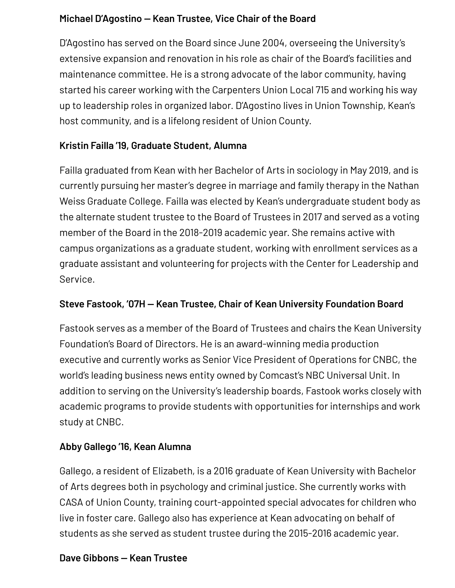#### **Michael D'Agostino — Kean Trustee, Vice Chair of the Board**

D'Agostino has served on the Board since June 2004, overseeing the University's extensive expansion and renovation in his role as chair of the Board's facilities and maintenance committee. He is a strong advocate of the labor community, having started his career working with the Carpenters Union Local 715 and working his way up to leadership roles in organized labor. D'Agostino lives in Union Township, Kean's host community, and is a lifelong resident of Union County.

#### **Kristin Failla '19, Graduate Student, Alumna**

Failla graduated from Kean with her Bachelor of Arts in sociology in May 2019, and is currently pursuing her master's degree in marriage and family therapy in the Nathan Weiss Graduate College. Failla was elected by Kean's undergraduate student body as the alternate student trustee to the Board of Trustees in 2017 and served as a voting member of the Board in the 2018-2019 academic year. She remains active with campus organizations as a graduate student, working with enrollment services as a graduate assistant and volunteering for projects with the Center for Leadership and Service.

#### **Steve Fastook, '07H — Kean Trustee, Chair of Kean University Foundation Board**

Fastook serves as a member of the Board of Trustees and chairs the Kean University Foundation's Board of Directors. He is an award-winning media production executive and currently works as Senior Vice President of Operations for CNBC, the world's leading business news entity owned by Comcast's NBC Universal Unit. In addition to serving on the University's leadership boards, Fastook works closely with academic programs to provide students with opportunities for internships and work study at CNBC.

#### **Abby Gallego '16, Kean Alumna**

Gallego, a resident of Elizabeth, is a 2016 graduate of Kean University with Bachelor of Arts degrees both in psychology and criminal justice. She currently works with CASA of Union County, training court-appointed special advocates for children who live in foster care. Gallego also has experience at Kean advocating on behalf of students as she served as student trustee during the 2015-2016 academic year.

#### **Dave Gibbons — Kean Trustee**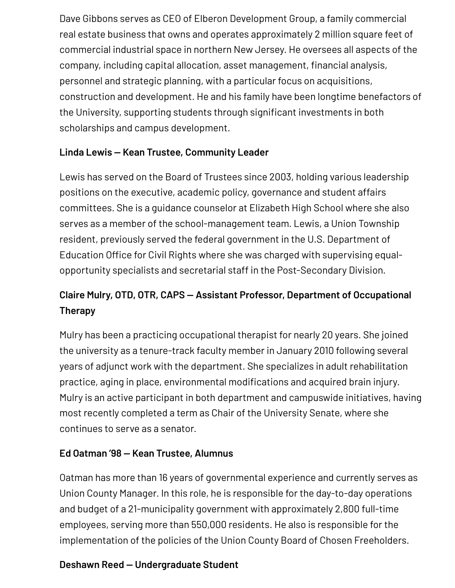Dave Gibbons serves as CEO of Elberon Development Group, a family commercial real estate business that owns and operates approximately 2 million square feet of commercial industrial space in northern New Jersey. He oversees all aspects of the company, including capital allocation, asset management, financial analysis, personnel and strategic planning, with a particular focus on acquisitions, construction and development. He and his family have been longtime benefactors of the University, supporting students through significant investments in both scholarships and campus development.

#### **Linda Lewis — Kean Trustee, Community Leader**

Lewis has served on the Board of Trustees since 2003, holding various leadership positions on the executive, academic policy, governance and student affairs committees. She is a guidance counselor at Elizabeth High School where she also serves as a member of the school-management team. Lewis, a Union Township resident, previously served the federal government in the U.S. Department of Education Office for Civil Rights where she was charged with supervising equalopportunity specialists and secretarial staff in the Post-Secondary Division.

## **Claire Mulry, OTD, OTR, CAPS — Assistant Professor, Department of Occupational Therapy**

Mulry has been a practicing occupational therapist for nearly 20 years. She joined the university as a tenure-track faculty member in January 2010 following several years of adjunct work with the department. She specializes in adult rehabilitation practice, aging in place, environmental modifications and acquired brain injury. Mulry is an active participant in both department and campuswide initiatives, having most recently completed a term as Chair of the University Senate, where she continues to serve as a senator.

#### **Ed Oatman '98 — Kean Trustee, Alumnus**

Oatman has more than 16 years of governmental experience and currently serves as Union County Manager. In this role, he is responsible for the day-to-day operations and budget of a 21-municipality government with approximately 2,800 full-time employees, serving more than 550,000 residents. He also is responsible for the implementation of the policies of the Union County Board of Chosen Freeholders.

#### **Deshawn Reed — Undergraduate Student**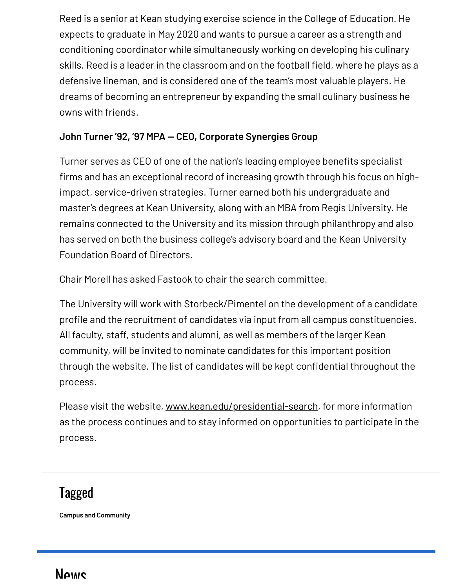Reed is a senior at Kean studying exercise science in the College of Education. He expects to graduate in May 2020 and wants to pursue a career as a strength and conditioning coordinator while simultaneously working on developing his culinary skills. Reed is a leader in the classroom and on the football field, where he plays as a defensive lineman, and is considered one of the team's most valuable players. He dreams of becoming an entrepreneur by expanding the small culinary business he owns with friends.

#### **John Turner '92, '97 MPA — CEO, Corporate Synergies Group**

Turner serves as CEO of one of the nation's leading employee benefits specialist firms and has an exceptional record of increasing growth through his focus on highimpact, service-driven strategies. Turner earned both his undergraduate and master's degrees at Kean University, along with an MBA from Regis University. He remains connected to the University and its mission through philanthropy and also has served on both the business college's advisory board and the Kean University Foundation Board of Directors.

Chair Morell has asked Fastook to chair the search committee.

The University will work with Storbeck/Pimentel on the development of a candidate profile and the recruitment of candidates via input from all campus constituencies. All faculty, staff, students and alumni, as well as members of the larger Kean community, will be invited to nominate candidates for this important position through the website. The list of candidates will be kept confidential throughout the process.

Please visit the website, www.kean.edu/presidential-search, for more information as the process continues and to stay informed on opportunities to participate in the process.

# Tagged

**Campus and Community**

# Nows